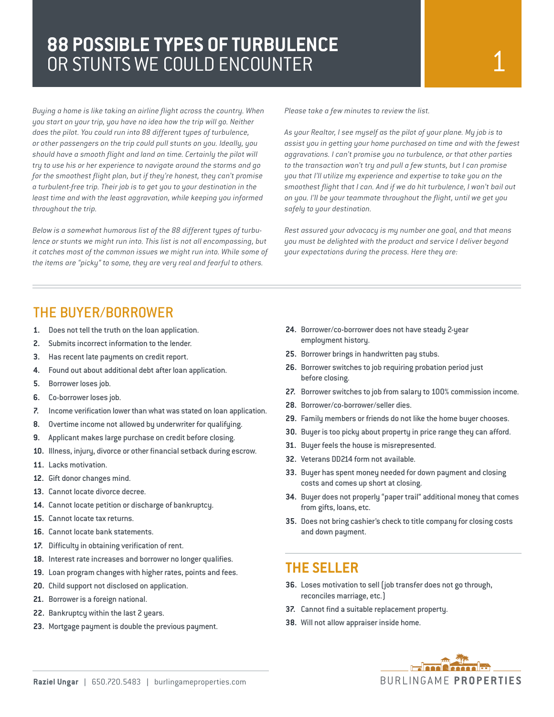# **88 POSSIBLE TYPES OF TURBULENCE**  OR STUNTS WE COULD ENCOUNTER

*Buying a home is like taking an airline flight across the country. When you start on your trip, you have no idea how the trip will go. Neither does the pilot. You could run into 88 different types of turbulence, or other passengers on the trip could pull stunts on you. Ideally, you should have a smooth flight and land on time. Certainly the pilot will try to use his or her experience to navigate around the storms and go for the smoothest flight plan, but if they're honest, they can't promise a turbulent-free trip. Their job is to get you to your destination in the least time and with the least aggravation, while keeping you informed throughout the trip.*

*Below is a somewhat humorous list of the 88 different types of turbulence or stunts we might run into. This list is not all encompassing, but it catches most of the common issues we might run into. While some of the items are "picky" to some, they are very real and fearful to others.*

*Please take a few minutes to review the list.*

*As your Realtor, I see myself as the pilot of your plane. My job is to assist you in getting your home purchased on time and with the fewest aggravations. I can't promise you no turbulence, or that other parties to the transaction won't try and pull a few stunts, but I can promise you that I'll utilize my experience and expertise to take you on the smoothest flight that I can. And if we do hit turbulence, I won't bail out on you. I'll be your teammate throughout the flight, until we get you safely to your destination.* 

*Rest assured your advocacy is my number one goal, and that means you must be delighted with the product and service I deliver beyond your expectations during the process. Here they are:*

## THE BUYER/BORROWER

- **1.** Does not tell the truth on the loan application.
- **2.** Submits incorrect information to the lender.
- **3.** Has recent late payments on credit report.
- **4.** Found out about additional debt after loan application.
- **5.** Borrower loses job.
- **6.** Co-borrower loses job.
- **7.** Income verification lower than what was stated on loan application.
- **8.** Overtime income not allowed by underwriter for qualifying.
- **9.** Applicant makes large purchase on credit before closing.
- **10.** Illness, injury, divorce or other financial setback during escrow.
- **11.** Lacks motivation.
- **12.** Gift donor changes mind.
- **13.** Cannot locate divorce decree.
- **14.** Cannot locate petition or discharge of bankruptcy.
- **15.** Cannot locate tax returns.
- **16.** Cannot locate bank statements.
- **17.** Difficulty in obtaining verification of rent.
- **18.** Interest rate increases and borrower no longer qualifies.
- **19.** Loan program changes with higher rates, points and fees.
- **20.** Child support not disclosed on application.
- **21.** Borrower is a foreign national.
- **22.** Bankruptcy within the last 2 years.
- **23.** Mortgage payment is double the previous payment.
- **24.** Borrower/co-borrower does not have steady 2-year employment history.
- **25.** Borrower brings in handwritten pay stubs.
- **26.** Borrower switches to job requiring probation period just before closing.
- **27.** Borrower switches to job from salary to 100% commission income.
- **28.** Borrower/co-borrower/seller dies.
- **29.** Family members or friends do not like the home buyer chooses.
- **30.** Buyer is too picky about property in price range they can afford.
- **31.** Buyer feels the house is misrepresented.
- **32.** Veterans DD214 form not available.
- **33.** Buyer has spent money needed for down payment and closing costs and comes up short at closing.
- **34.** Buyer does not properly "paper trail" additional money that comes from gifts, loans, etc.
- **35.** Does not bring cashier's check to title company for closing costs and down payment.

### **THE SELLER**

- **36.** Loses motivation to sell (job transfer does not go through, reconciles marriage, etc.)
- **37.** Cannot find a suitable replacement property.
- **38.** Will not allow appraiser inside home.